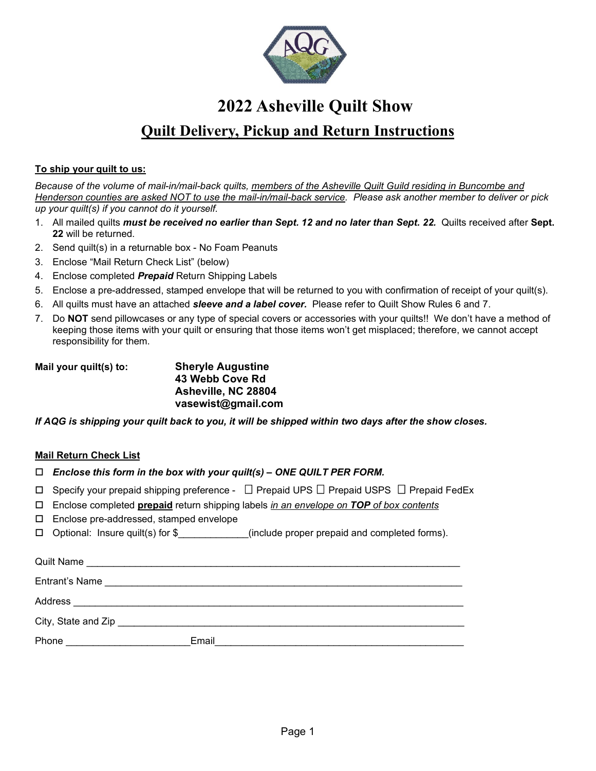

# **2022 Asheville Quilt Show**

# **Quilt Delivery, Pickup and Return Instructions**

### **To ship your quilt to us:**

*Because of the volume of mail-in/mail-back quilts, members of the Asheville Quilt Guild residing in Buncombe and Henderson counties are asked NOT to use the mail-in/mail-back service. Please ask another member to deliver or pick up your quilt(s) if you cannot do it yourself.*

- 1. All mailed quilts *must be received no earlier than Sept. 12 and no later than Sept. 22.* Quilts received after **Sept. 22** will be returned.
- 2. Send quilt(s) in a returnable box No Foam Peanuts
- 3. Enclose "Mail Return Check List" (below)
- 4. Enclose completed *Prepaid* Return Shipping Labels
- 5. Enclose a pre-addressed, stamped envelope that will be returned to you with confirmation of receipt of your quilt(s).
- 6. All quilts must have an attached *sleeve and a label cover.* Please refer to Quilt Show Rules 6 and 7.
- 7. Do **NOT** send pillowcases or any type of special covers or accessories with your quilts!! We don't have a method of keeping those items with your quilt or ensuring that those items won't get misplaced; therefore, we cannot accept responsibility for them.

**Mail your quilt(s) to: Sheryle Augustine 43 Webb Cove Rd Asheville, NC 28804 vasewist@gmail.com**

*If AQG is shipping your quilt back to you, it will be shipped within two days after the show closes.*

# **Mail Return Check List**

- *Enclose this form in the box with your quilt(s) – ONE QUILT PER FORM.*
- $\Box$  Specify your prepaid shipping preference  $\Box$  Prepaid UPS  $\Box$  Prepaid USPS  $\Box$  Prepaid FedEx
- Enclose completed **prepaid** return shipping labels *in an envelope on TOP of box contents*
- Enclose pre-addressed, stamped envelope
- $\Box$  Optional: Insure quilt(s) for  $\$\$  (include proper prepaid and completed forms).

| <b>Quilt Name</b>   |                                                                                           |  |  |
|---------------------|-------------------------------------------------------------------------------------------|--|--|
| Entrant's Name      |                                                                                           |  |  |
| Address             |                                                                                           |  |  |
| City, State and Zip | the control of the control of the control of the control of the control of the control of |  |  |
| Phone               | Email                                                                                     |  |  |